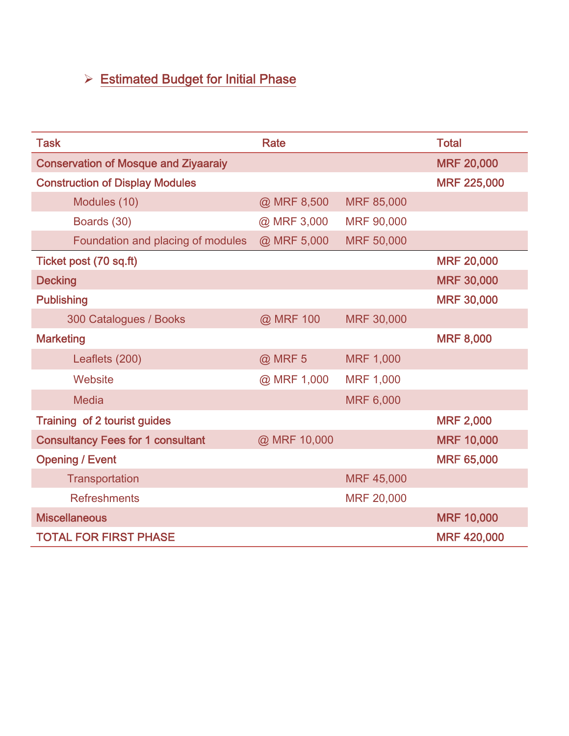## ¾ Estimated Budget for Initial Phase

| <b>Task</b>                                 | <b>Rate</b>  |                   | <b>Total</b>       |
|---------------------------------------------|--------------|-------------------|--------------------|
| <b>Conservation of Mosque and Ziyaaraiy</b> |              |                   | <b>MRF 20,000</b>  |
| <b>Construction of Display Modules</b>      |              |                   | <b>MRF 225,000</b> |
| Modules (10)                                | @ MRF 8,500  | MRF 85,000        |                    |
| Boards (30)                                 | @ MRF 3,000  | <b>MRF 90,000</b> |                    |
| Foundation and placing of modules           | @ MRF 5,000  | MRF 50,000        |                    |
| Ticket post (70 sq.ft)                      |              |                   | <b>MRF 20,000</b>  |
| <b>Decking</b>                              |              |                   | <b>MRF 30,000</b>  |
| <b>Publishing</b>                           |              |                   | <b>MRF 30,000</b>  |
| 300 Catalogues / Books                      | @ MRF 100    | <b>MRF 30,000</b> |                    |
| <b>Marketing</b>                            |              |                   | <b>MRF 8,000</b>   |
| Leaflets (200)                              | @ MRF 5      | <b>MRF 1,000</b>  |                    |
| Website                                     | @ MRF 1,000  | <b>MRF 1,000</b>  |                    |
| <b>Media</b>                                |              | <b>MRF 6,000</b>  |                    |
| Training of 2 tourist guides                |              |                   | <b>MRF 2,000</b>   |
| <b>Consultancy Fees for 1 consultant</b>    | @ MRF 10,000 |                   | <b>MRF 10,000</b>  |
| <b>Opening / Event</b>                      |              |                   | <b>MRF 65,000</b>  |
| Transportation                              |              | MRF 45,000        |                    |
| <b>Refreshments</b>                         |              | MRF 20,000        |                    |
| <b>Miscellaneous</b>                        |              |                   | <b>MRF 10,000</b>  |
| <b>TOTAL FOR FIRST PHASE</b>                |              |                   | <b>MRF 420,000</b> |